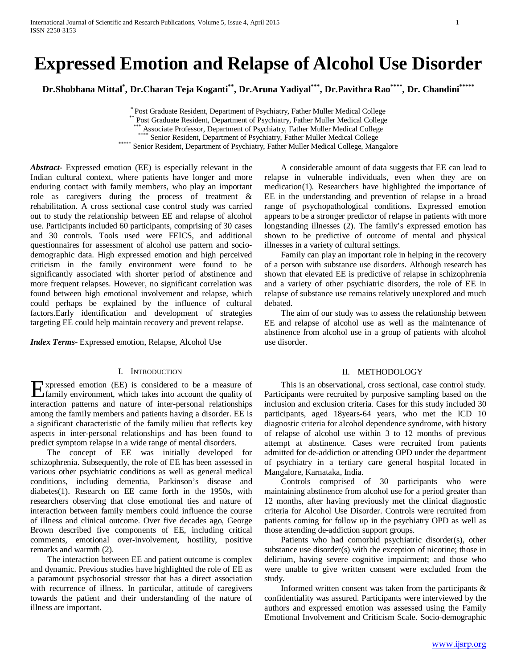# **Expressed Emotion and Relapse of Alcohol Use Disorder**

**Dr.Shobhana Mittal\* , Dr.Charan Teja Koganti\*\*, Dr.Aruna Yadiyal\*\*\*, Dr.Pavithra Rao\*\*\*\*, Dr. Chandini\*\*\*\*\***

\* Post Graduate Resident, Department of Psychiatry, Father Muller Medical College

\*\* Associate Professor, Department of Psychiatry, Father Muller Medical College \*\*\*\* Senior Resident, Department of Psychiatry, Father Muller Medical College

\*\*\*\*\* Senior Resident, Department of Psychiatry, Father Muller Medical College, Mangalore

*Abstract***-** Expressed emotion (EE) is especially relevant in the Indian cultural context, where patients have longer and more enduring contact with family members, who play an important role as caregivers during the process of treatment & rehabilitation. A cross sectional case control study was carried out to study the relationship between EE and relapse of alcohol use. Participants included 60 participants, comprising of 30 cases and 30 controls. Tools used were FEICS, and additional questionnaires for assessment of alcohol use pattern and sociodemographic data. High expressed emotion and high perceived criticism in the family environment were found to be significantly associated with shorter period of abstinence and more frequent relapses. However, no significant correlation was found between high emotional involvement and relapse, which could perhaps be explained by the influence of cultural factors.Early identification and development of strategies targeting EE could help maintain recovery and prevent relapse.

*Index Terms*- Expressed emotion, Relapse, Alcohol Use

# I. INTRODUCTION

xpressed emotion (EE) is considered to be a measure of **F**xpressed emotion (EE) is considered to be a measure of family environment, which takes into account the quality of interaction patterns and nature of inter-personal relationships among the family members and patients having a disorder. EE is a significant characteristic of the family milieu that reflects key aspects in inter-personal relationships and has been found to predict symptom relapse in a wide range of mental disorders.

 The concept of EE was initially developed for schizophrenia. Subsequently, the role of EE has been assessed in various other psychiatric conditions as well as general medical conditions, including dementia, Parkinson's disease and diabetes(1). Research on EE came forth in the 1950s, with researchers observing that close emotional ties and nature of interaction between family members could influence the course of illness and clinical outcome. Over five decades ago, George Brown described five components of EE, including critical comments, emotional over-involvement, hostility, positive remarks and warmth (2).

 The interaction between EE and patient outcome is complex and dynamic. Previous studies have highlighted the role of EE as a paramount psychosocial stressor that has a direct association with recurrence of illness. In particular, attitude of caregivers towards the patient and their understanding of the nature of illness are important.

 A considerable amount of data suggests that EE can lead to relapse in vulnerable individuals, even when they are on medication(1). Researchers have highlighted the importance of EE in the understanding and prevention of relapse in a broad range of psychopathological conditions. Expressed emotion appears to be a stronger predictor of relapse in patients with more longstanding illnesses (2). The family's expressed emotion has shown to be predictive of outcome of mental and physical illnesses in a variety of cultural settings.

 Family can play an important role in helping in the recovery of a person with substance use disorders. Although research has shown that elevated EE is predictive of relapse in schizophrenia and a variety of other psychiatric disorders, the role of EE in relapse of substance use remains relatively unexplored and much debated.

 The aim of our study was to assess the relationship between EE and relapse of alcohol use as well as the maintenance of abstinence from alcohol use in a group of patients with alcohol use disorder.

## II. METHODOLOGY

 This is an observational, cross sectional, case control study. Participants were recruited by purposive sampling based on the inclusion and exclusion criteria. Cases for this study included 30 participants, aged 18years-64 years, who met the ICD 10 diagnostic criteria for alcohol dependence syndrome, with history of relapse of alcohol use within 3 to 12 months of previous attempt at abstinence. Cases were recruited from patients admitted for de-addiction or attending OPD under the department of psychiatry in a tertiary care general hospital located in Mangalore, Karnataka, India.

 Controls comprised of 30 participants who were maintaining abstinence from alcohol use for a period greater than 12 months, after having previously met the clinical diagnostic criteria for Alcohol Use Disorder. Controls were recruited from patients coming for follow up in the psychiatry OPD as well as those attending de-addiction support groups.

 Patients who had comorbid psychiatric disorder(s), other substance use disorder(s) with the exception of nicotine; those in delirium, having severe cognitive impairment; and those who were unable to give written consent were excluded from the study.

 Informed written consent was taken from the participants & confidentiality was assured. Participants were interviewed by the authors and expressed emotion was assessed using the Family Emotional Involvement and Criticism Scale. Socio-demographic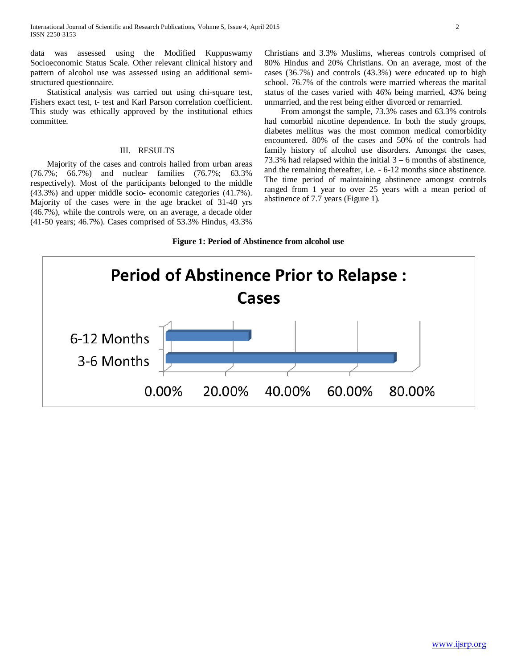data was assessed using the Modified Kuppuswamy Socioeconomic Status Scale. Other relevant clinical history and pattern of alcohol use was assessed using an additional semistructured questionnaire.

 Statistical analysis was carried out using chi-square test, Fishers exact test, t- test and Karl Parson correlation coefficient. This study was ethically approved by the institutional ethics committee.

## III. RESULTS

 Majority of the cases and controls hailed from urban areas (76.7%; 66.7%) and nuclear families (76.7%; 63.3% respectively). Most of the participants belonged to the middle (43.3%) and upper middle socio- economic categories (41.7%). Majority of the cases were in the age bracket of 31-40 yrs (46.7%), while the controls were, on an average, a decade older (41-50 years; 46.7%). Cases comprised of 53.3% Hindus, 43.3%

Christians and 3.3% Muslims, whereas controls comprised of 80% Hindus and 20% Christians. On an average, most of the cases (36.7%) and controls (43.3%) were educated up to high school. 76.7% of the controls were married whereas the marital status of the cases varied with 46% being married, 43% being unmarried, and the rest being either divorced or remarried.

 From amongst the sample, 73.3% cases and 63.3% controls had comorbid nicotine dependence. In both the study groups, diabetes mellitus was the most common medical comorbidity encountered. 80% of the cases and 50% of the controls had family history of alcohol use disorders. Amongst the cases, 73.3% had relapsed within the initial 3 – 6 months of abstinence, and the remaining thereafter, i.e. - 6-12 months since abstinence. The time period of maintaining abstinence amongst controls ranged from 1 year to over 25 years with a mean period of abstinence of 7.7 years (Figure 1).

# **Figure 1: Period of Abstinence from alcohol use**

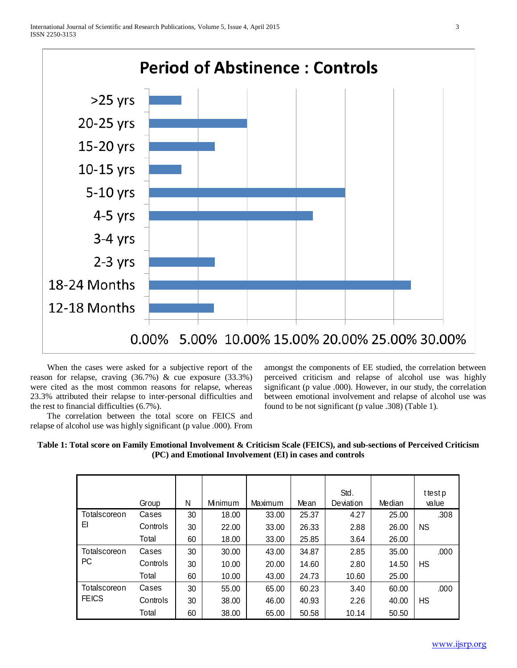

 When the cases were asked for a subjective report of the reason for relapse, craving (36.7%) & cue exposure (33.3%) were cited as the most common reasons for relapse, whereas 23.3% attributed their relapse to inter-personal difficulties and the rest to financial difficulties (6.7%).

 The correlation between the total score on FEICS and relapse of alcohol use was highly significant (p value .000). From amongst the components of EE studied, the correlation between perceived criticism and relapse of alcohol use was highly significant (p value .000). However, in our study, the correlation between emotional involvement and relapse of alcohol use was found to be not significant (p value .308) (Table 1).

![](_page_2_Figure_5.jpeg)

|                              | Group    | N  | Minimum | Maximum | Mean  | Std.<br>Deviation | Median | ttestp<br>value |
|------------------------------|----------|----|---------|---------|-------|-------------------|--------|-----------------|
| Totalscoreon<br>EI           | Cases    | 30 | 18.00   | 33.00   | 25.37 | 4.27              | 25.00  | .308            |
|                              | Controls | 30 | 22.00   | 33.00   | 26.33 | 2.88              | 26.00  | <b>NS</b>       |
|                              | Total    | 60 | 18.00   | 33.00   | 25.85 | 3.64              | 26.00  |                 |
| Totalscoreon<br>PC           | Cases    | 30 | 30.00   | 43.00   | 34.87 | 2.85              | 35.00  | .000            |
|                              | Controls | 30 | 10.00   | 20.00   | 14.60 | 2.80              | 14.50  | HS              |
|                              | Total    | 60 | 10.00   | 43.00   | 24.73 | 10.60             | 25.00  |                 |
| Totalscoreon<br><b>FEICS</b> | Cases    | 30 | 55.00   | 65.00   | 60.23 | 3.40              | 60.00  | .000            |
|                              | Controls | 30 | 38.00   | 46.00   | 40.93 | 2.26              | 40.00  | HS              |
|                              | Total    | 60 | 38.00   | 65.00   | 50.58 | 10.14             | 50.50  |                 |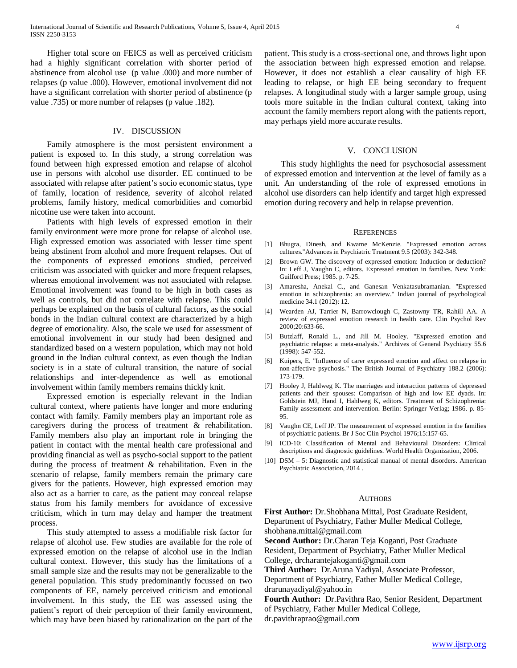Higher total score on FEICS as well as perceived criticism had a highly significant correlation with shorter period of abstinence from alcohol use (p value .000) and more number of relapses (p value .000). However, emotional involvement did not have a significant correlation with shorter period of abstinence (p value .735) or more number of relapses (p value .182).

### IV. DISCUSSION

 Family atmosphere is the most persistent environment a patient is exposed to. In this study, a strong correlation was found between high expressed emotion and relapse of alcohol use in persons with alcohol use disorder. EE continued to be associated with relapse after patient's socio economic status, type of family, location of residence, severity of alcohol related problems, family history, medical comorbidities and comorbid nicotine use were taken into account.

 Patients with high levels of expressed emotion in their family environment were more prone for relapse of alcohol use. High expressed emotion was associated with lesser time spent being abstinent from alcohol and more frequent relapses. Out of the components of expressed emotions studied, perceived criticism was associated with quicker and more frequent relapses, whereas emotional involvement was not associated with relapse. Emotional involvement was found to be high in both cases as well as controls, but did not correlate with relapse. This could perhaps be explained on the basis of cultural factors, as the social bonds in the Indian cultural context are characterized by a high degree of emotionality. Also, the scale we used for assessment of emotional involvement in our study had been designed and standardized based on a western population, which may not hold ground in the Indian cultural context, as even though the Indian society is in a state of cultural transition, the nature of social relationships and inter-dependence as well as emotional involvement within family members remains thickly knit.

 Expressed emotion is especially relevant in the Indian cultural context, where patients have longer and more enduring contact with family. Family members play an important role as caregivers during the process of treatment & rehabilitation. Family members also play an important role in bringing the patient in contact with the mental health care professional and providing financial as well as psycho-social support to the patient during the process of treatment & rehabilitation. Even in the scenario of relapse, family members remain the primary care givers for the patients. However, high expressed emotion may also act as a barrier to care, as the patient may conceal relapse status from his family members for avoidance of excessive criticism, which in turn may delay and hamper the treatment process.

 This study attempted to assess a modifiable risk factor for relapse of alcohol use. Few studies are available for the role of expressed emotion on the relapse of alcohol use in the Indian cultural context. However, this study has the limitations of a small sample size and the results may not be generalizable to the general population. This study predominantly focussed on two components of EE, namely perceived criticism and emotional involvement. In this study, the EE was assessed using the patient's report of their perception of their family environment, which may have been biased by rationalization on the part of the patient. This study is a cross-sectional one, and throws light upon the association between high expressed emotion and relapse. However, it does not establish a clear causality of high EE leading to relapse, or high EE being secondary to frequent relapses. A longitudinal study with a larger sample group, using tools more suitable in the Indian cultural context, taking into account the family members report along with the patients report, may perhaps yield more accurate results.

#### V. CONCLUSION

 This study highlights the need for psychosocial assessment of expressed emotion and intervention at the level of family as a unit. An understanding of the role of expressed emotions in alcohol use disorders can help identify and target high expressed emotion during recovery and help in relapse prevention.

#### **REFERENCES**

- [1] Bhugra, Dinesh, and Kwame McKenzie. "Expressed emotion across cultures."Advances in Psychiatric Treatment 9.5 (2003): 342-348.
- [2] Brown GW. The discovery of expressed emotion: Induction or deduction? In: Leff J, Vaughn C, editors. Expressed emotion in families. New York: Guilford Press; 1985. p. 7-25.
- [3] Amaresha, Anekal C., and Ganesan Venkatasubramanian. "Expressed emotion in schizophrenia: an overview." Indian journal of psychological medicine 34.1 (2012): 12.
- [4] Wearden AJ, Tarrier N, Barrowclough C, Zastowny TR, Rahill AA. A review of expressed emotion research in health care. Clin Psychol Rev 2000;20:633-66.
- [5] Butzlaff, Ronald L., and Jill M. Hooley. "Expressed emotion and psychiatric relapse: a meta-analysis." Archives of General Psychiatry 55.6 (1998): 547-552.
- [6] Kuipers, E. "Influence of carer expressed emotion and affect on relapse in non-affective psychosis." The British Journal of Psychiatry 188.2 (2006): 173-179.
- [7] Hooley J, Hahlweg K. The marriages and interaction patterns of depressed patients and their spouses: Comparison of high and low EE dyads. In: Goldstein MJ, Hand I, Hahlweg K, editors. Treatment of Schizophrenia: Family assessment and intervention. Berlin: Springer Verlag; 1986. p. 85- 95.
- [8] Vaughn CE, Leff JP. The measurement of expressed emotion in the families of psychiatric patients. Br J Soc Clin Psychol 1976;15:157-65.
- [9] ICD-10: Classification of Mental and Behavioural Disorders: Clinical descriptions and diagnostic guidelines. World Health Organization, 2006.
- [10] DSM 5: Diagnostic and statistical manual of mental disorders. American Psychiatric Association, 2014 .

#### AUTHORS

**First Author:** Dr.Shobhana Mittal, Post Graduate Resident, Department of Psychiatry, Father Muller Medical College, shobhana.mittal@gmail.com

**Second Author:** Dr.Charan Teja Koganti, Post Graduate Resident, Department of Psychiatry, Father Muller Medical College, drcharantejakoganti@gmail.com

**Third Author:** Dr.Aruna Yadiyal, Associate Professor,

Department of Psychiatry, Father Muller Medical College, drarunayadiyal@yahoo.in

**Fourth Author:** Dr.Pavithra Rao, Senior Resident, Department of Psychiatry, Father Muller Medical College, dr.pavithraprao@gmail.com